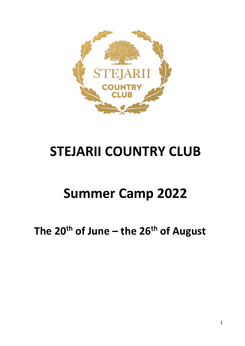

# **STEJARII COUNTRY CLUB**

# **Summer Camp 2022**

**The 20th of June – the 26th of August**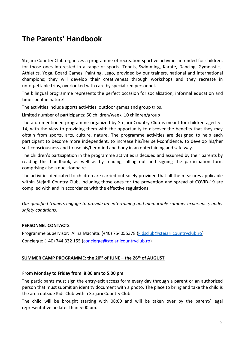# **The Parents' Handbook**

Stejarii Country Club organizes a programme of recreation-sportive activities intended for children, for those ones interested in a range of sports: Tennis, Swimming, Karate, Dancing, Gymnastics, Athletics, Yoga, Board Games, Painting, Lego, provided by our trainers, national and international champions; they will develop their creativeness through workshops and they recreate in unforgettable trips, overlooked with care by specialized personnel.

The bilingual programme represents the perfect occasion for socialization, informal education and time spent in nature!

The activities include sports activities, outdoor games and group trips.

Limited number of participants: 50 children/week, 10 children/group

The aforementioned programme organized by Stejarii Country Club is meant for children aged 5 - 14, with the view to providing them with the opportunity to discover the benefits that they may obtain from sports, arts, culture, nature. The programme activities are designed to help each participant to become more independent, to increase his/her self-confidence, to develop his/her self-consciousness and to use his/her mind and body in an entertaining and safe way.

The children's participation in the programme activities is decided and assumed by their parents by reading this handbook, as well as by reading, filling out and signing the participation form comprising also a questionnaire.

The activities dedicated to children are carried out solely provided that all the measures applicable within Stejarii Country Club, including those ones for the prevention and spread of COVID-19 are complied with and in accordance with the effective regulations.

*Our qualified trainers engage to provide an entertaining and memorable summer experience, under safety conditions.* 

## **PERSONNEL CONTACTS**

Programme Supervisor: Alina Machita: (+40) 754055378 [\(kidsclub@stejariicountryclub.ro\)](mailto:kidsclub@stejariicountryclub.ro) Concierge: (+40) 744 332 155 (concierge@stejariicountryclub.ro)

#### **SUMMER CAMP PROGRAMME: the 20th of JUNE – the 26th of AUGUST**

#### **From Monday to Friday from 8:00 am to 5:00 pm**

The participants must sign the entry-exit access form every day through a parent or an authorized person that must submit an identity document with a photo. The place to bring and take the child is the area outside Kids Club within Stejarii Country Club.

The child will be brought starting with 08:00 and will be taken over by the parent/ legal representative no later than 5:00 pm.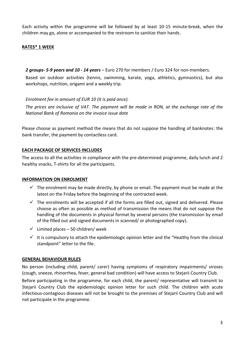Each activity within the programme will be followed by at least 10-15 minute-break, when the children may go, alone or accompanied to the restroom to sanitize their hands.

# **RATES\* 1 WEEK**

*2 groups- 5-9 years and 10 - 14 years* – Euro 270 for members / Euro 324 for non-members.

Based on outdoor activities (tennis, swimming, karate, yoga, athletics, gymnastics), but also workshops, nutrition, origami and a weekly trip.

*Enrolment fee in amount of EUR 10 (it is paid once).*

*The prices are inclusive of VAT. The payment will be made in RON, at the exchange rate of the National Bank of Romania on the invoice issue date* 

Please choose as payment method the means that do not suppose the handling of banknotes: the bank transfer, the payment by contactless card.

## **EACH PACKAGE OF SERVICES INCLUDES**

The access to all the activities in compliance with the pre-determined programme, daily lunch and 2 healthy snacks, T-shirts for all the participants.

## **INFORMATION ON ENROLMENT**

- $\checkmark$  The enrolment may be made directly, by phone or email. The payment must be made at the latest on the Friday before the beginning of the contracted week.
- $\checkmark$  The enrolments will be accepted if all the forms are filled out, signed and delivered. Please choose as often as possible as method of transmission the means that do not suppose the handling of the documents in physical format by several persons (the transmission by email of the filled out and signed documents in scanned/ or photographed copy).
- $\checkmark$  Limited places 50 children/ week
- $\checkmark$  It is compulsory to attach the epidemiologic opinion letter and the "Healthy from the clinical standpoint" letter to the file.

## **GENERAL BEHAVIOUR RULES**

No person (including child, parent/ carer) having symptoms of respiratory impairments/ viroses (cough, sneeze, rhinorrhea, fever, general bad condition) will have access to Stejarii Country Club.

Before participating in the programme, for each child, the parent/ representative will transmit to Stejarii Country Club the epidemiologic opinion letter for such child. The children with acute infectious-contagious diseases will not be brought to the premises of Stejarii Country Club and will not participate in the programme.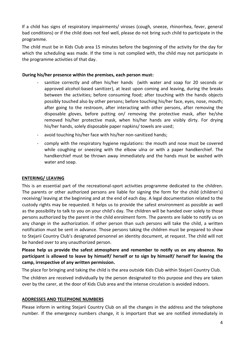If a child has signs of respiratory impairments/ viroses (cough, sneeze, rhinorrhea, fever, general bad conditions) or if the child does not feel well, please do not bring such child to participate in the programme.

The child must be in Kids Club area 15 minutes before the beginning of the activity for the day for which the scheduling was made. If the time is not complied with, the child may not participate in the programme activities of that day.

## **During his/her presence within the premises, each person must:**

- sanitize correctly and often his/her hands (with water and soap for 20 seconds or approved alcohol-based sanitizer), at least upon coming and leaving, during the breaks between the activities; before consuming food; after touching with the hands objects possibly touched also by other persons; before touching his/her face, eyes, nose, mouth; after going to the restroom, after interacting with other persons, after removing the disposable gloves, before putting on/ removing the protective mask, after he/she removed his/her protective mask, when his/her hands are visibly dirty. For drying his/her hands, solely disposable paper napkins/ towels are used;
- avoid touching his/her face with his/her non-sanitized hands;
- comply with the respiratory hygiene regulations: the mouth and nose must be covered while coughing or sneezing with the elbow ulna or with a paper handkerchief. The handkerchief must be thrown away immediately and the hands must be washed with water and soap.

## **ENTERING/ LEAVING**

This is an essential part of the recreational-sport activities programme dedicated to the children. The parents or other authorized persons are liable for signing the form for the child (children's) receiving/ leaving at the beginning and at the end of each day. A legal documentation related to the custody rights may be requested. It helps us to provide the safest environment as possible as well as the possibility to talk to you on your child's day. The children will be handed over solely to those persons authorized by the parent in the child enrolment form. The parents are liable to notify us on any change in the authorization. If other person than such persons will take the child, a written notification must be sent in advance. Those persons taking the children must be prepared to show to Stejarii Country Club's designated personnel an identity document, at request. The child will not be handed over to any unauthorized person.

**Please help us provide the safest atmosphere and remember to notify us on any absence. No participant is allowed to leave by himself/ herself or to sign by himself/ herself for leaving the camp, irrespective of any written permission.** 

The place for bringing and taking the child is the area outside Kids Club within Stejarii Country Club.

The children are received individually by the person designated to this purpose and they are taken over by the carer, at the door of Kids Club area and the intense circulation is avoided indoors.

## **ADDRESSES AND TELEPHONE NUMBERS**

Please inform in writing Stejarii Country Club on all the changes in the address and the telephone number. If the emergency numbers change, it is important that we are notified immediately in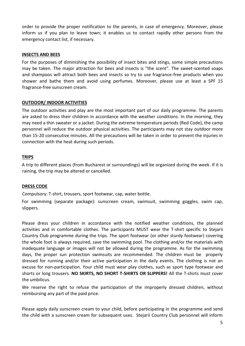order to provide the proper notification to the parents, in case of emergency. Moreover, please inform us if you plan to leave town; it enables us to contact rapidly other persons from the emergency contact list, if necessary.

#### **INSECTS AND BEES**

For the purposes of diminishing the possibility of insect bites and stings, some simple precautions may be taken. The major attraction for bees and insects is "the scent". The sweet-scented soaps and shampoos will attract both bees and insects so try to use fragrance-free products when you shower and bathe them and avoid using perfumes. Moreover, please use at least a SPF 15 fragrance-free sunscreen cream.

## **OUTDOOR/ INDOOR ACTIVITIES**

The outdoor activities and play are the most important part of our daily programme. The parents are asked to dress their children in accordance with the weather conditions. In the morning, they may need a thin sweater or a jacket. During the extreme temperature periods (Red Code), the camp personnel will reduce the outdoor physical activities. The participants may not stay outdoor more than 15-20 consecutive minutes. All the precautions will be taken in order to prevent the injuries in connection with the heat during such periods.

#### **TRIPS**

A trip to different places (from Bucharest or surroundings) will be organized during the week. If it is raining, the trip may be altered or cancelled.

#### **DRESS CODE**

Compulsory: T-shirt, trousers, sport footwear, cap, water bottle.

For swimming (separate package): sunscreen cream, swimsuit, swimming goggles, swim cap, slippers.

Please dress your children in accordance with the notified weather conditions, the planned activities and in comfortable clothes. The participants MUST wear the T-shirt specific to Stejarii Country Club programme during the trips. The sport footwear (or other sturdy footwear) covering the whole foot is always required, save the swimming pool. The clothing and/or the materials with inadequate language or images will not be allowed during the programme. As for the swimming days, the proper sun protection swimsuits are recommended. The children must be properly dressed for running and/or their active participation in the daily events. The clothing is not an excuse for non-participation. Your child must wear play clothes, such as sport type footwear and shorts or long trousers. **NO SKIRTS, NO SHORT T-SHIRTS OR SLIPPERS!** All the T-shirts must cover the umbilicus.

We reserve the right to refuse the participation of the improperly dressed children, without reimbursing any part of the paid price.

Please apply daily sunscreen cream to your child, before participating in the programme and send the child with a sunscreen cream for subsequent uses. Stejarii Country Club personnel will inform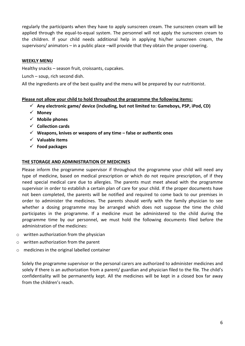regularly the participants when they have to apply sunscreen cream. The sunscreen cream will be applied through the equal-to-equal system. The personnel will not apply the sunscreen cream to the children. If your child needs additional help in applying his/her sunscreen cream, the supervisors/ animators – in a public place –will provide that they obtain the proper covering.

#### **WEEKLY MENU**

Healthy snacks – season fruit, croissants, cupcakes.

Lunch – soup, rich second dish.

All the ingredients are of the best quality and the menu will be prepared by our nutritionist.

#### **Please not allow your child to hold throughout the programme the following items:**

- **Any electronic game/ device (including, but not limited to: Gameboys, PSP, iPod, CD)**
- **Money**
- **Mobile phones**
- **Collection cards**
- **Weapons, knives or weapons of any time – false or authentic ones**
- **Valuable items**
- **Food packages**

#### **THE STORAGE AND ADMINISTRATION OF MEDICINES**

Please inform the programme supervisor if throughout the programme your child will need any type of medicine, based on medical prescription or which do not require prescription, of if they need special medical care due to allergies. The parents must meet ahead with the programme supervisor in order to establish a certain plan of care for your child. If the proper documents have not been completed, the parents will be notified and required to come back to our premises in order to administer the medicines. The parents should verify with the family physician to see whether a dosing programme may be arranged which does not suppose the time the child participates in the programme. If a medicine must be administered to the child during the programme time by our personnel, we must hold the following documents filed before the administration of the medicines:

- o written authorization from the physician
- o written authorization from the parent
- o medicines in the original labelled container

Solely the programme supervisor or the personal carers are authorized to administer medicines and solely if there is an authorization from a parent/ guardian and physician filed to the file. The child's confidentiality will be permanently kept. All the medicines will be kept in a closed box far away from the children's reach.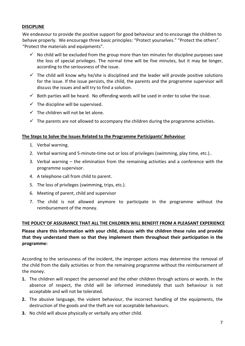# **DISCIPLINE**

We endeavour to provide the positive support for good behaviour and to encourage the children to behave properly. We encourage three basic principles: "Protect yourselves." "Protect the others". "Protect the materials and equipments".

- $\checkmark$  No child will be excluded from the group more than ten minutes for discipline purposes save the loss of special privileges. The normal time will be five minutes, but it may be longer, according to the seriousness of the issue.
- $\checkmark$  The child will know why he/she is disciplined and the leader will provide positive solutions for the issue. If the issue persists, the child, the parents and the programme supervisor will discuss the issues and will try to find a solution.
- $\checkmark$  Both parties will be heard. No offending words will be used in order to solve the issue.
- $\checkmark$  The discipline will be supervised.
- $\checkmark$  The children will not be let alone.
- $\checkmark$  The parents are not allowed to accompany the children during the programme activities.

## **The Steps to Solve the Issues Related to the Programme Participants' Behaviour**

- 1. Verbal warning.
- 2. Verbal warning and 5-minute-time out or loss of privileges (swimming, play time, etc.)..
- 3. Verbal warning the elimination from the remaining activities and a conference with the programme supervisor.
- 4. A telephone call from child to parent.
- 5. The loss of privileges (swimming, trips, etc.).
- 6. Meeting of parent, child and supervisor
- 7. The child is not allowed anymore to participate in the programme without the reimbursement of the money.

## **THE POLICY OF ASSURANCE THAT ALL THE CHILDREN WILL BENEFIT FROM A PLEASANT EXPERIENCE**

**Please share this information with your child, discuss with the children these rules and provide that they understand them so that they implement them throughout their participation in the programme:** 

According to the seriousness of the incident, the improper actions may determine the removal of the child from the daily activities or from the remaining programme without the reimbursement of the money.

- **1.** The children will respect the personnel and the other children through actions or words. In the absence of respect, the child will be informed immediately that such behaviour is not acceptable and will not be tolerated.
- **2.** The abusive language, the violent behaviour, the incorrect handling of the equipments, the destruction of the goods and the theft are not acceptable behaviours.
- **3.** No child will abuse physically or verbally any other child.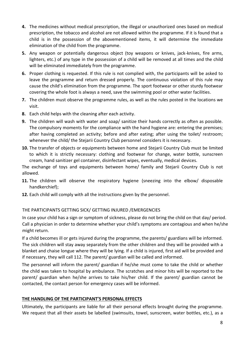- **4.** The medicines without medical prescription, the illegal or unauthorized ones based on medical prescription, the tobacco and alcohol are not allowed within the programme. If it is found that a child is in the possession of the abovementioned items, it will determine the immediate elimination of the child from the programme.
- **5.** Any weapon or potentially dangerous object (toy weapons or knives, jack-knives, fire arms, lighters, etc.) of any type in the possession of a child will be removed at all times and the child will be eliminated immediately from the programme.
- **6.** Proper clothing is requested. If this rule is not complied with, the participants will be asked to leave the programme and return dressed properly. The continuous violation of this rule may cause the child's elimination from the programme. The sport footwear or other sturdy footwear covering the whole foot is always a need, save the swimming pool or other water facilities.
- **7.** The children must observe the programme rules, as well as the rules posted in the locations we visit.
- **8.** Each child helps with the cleaning after each activity.
- **9.** The children will wash with water and soap/ sanitize their hands correctly as often as possible. The compulsory moments for the compliance with the hand hygiene are: entering the premises; after having completed an activity; before and after eating; after using the toilet/ restroom; whenever the child/ the Stejarii Country Club personnel considers it is necessary.
- **10.** The transfer of objects or equipments between home and Stejarii Country Club must be limited to which it is strictly necessary: clothing and footwear for change, water bottle, sunscreen cream, hand sanitizer gel container, disinfectant wipes, eventually, medical devices.

The exchange of toys and equipments between home/ family and Stejarii Country Club is not allowed.

- **11.** The children will observe the respiratory hygiene (sneezing into the elbow/ disposable handkerchief);
- **12.** Each child will comply with all the instructions given by the personnel.

# THE PARTICIPANTS GETTING SICK/ GETTING INJURED /EMERGENCIES

In case your child has a sign or symptom of sickness, please do not bring the child on that day/ period. Call a physician in order to determine whether your child's symptoms are contagious and when he/she might return.

If a child becomes ill or gets injured during the programme, the parents/ guardians will be informed. The sick children will stay away separately from the other children and they will be provided with a blanket and chaise longue where they will be lying. If a child is injured, first aid will be provided and if necessary, they will call 112. The parent/ guardian will be called and informed.

The personnel will inform the parent/ guardian if he/she must come to take the child or whether the child was taken to hospital by ambulance. The scratches and minor hits will be reported to the parent/ guardian when he/she arrives to take his/her child. If the parent/ guardian cannot be contacted, the contact person for emergency cases will be informed.

## **THE HANDLING OF THE PARTICIPANT'S PERSONAL EFFECTS**

Ultimately, the participants are liable for all their personal effects brought during the programme. We request that all their assets be labelled (swimsuits, towel, sunscreen, water bottles, etc.), as a